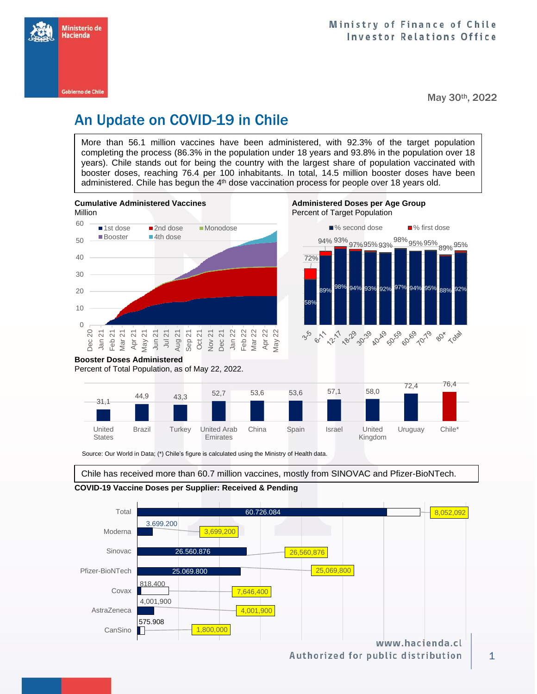

May 30th, 2022

# An Update on COVID-19 in Chile

More than 56.1 million vaccines have been administered, with 92.3% of the target population completing the process (86.3% in the population under 18 years and 93.8% in the population over 18 years). Chile stands out for being the country with the largest share of population vaccinated with booster doses, reaching 76.4 per 100 inhabitants. In total, 14.5 million booster doses have been administered. Chile has begun the 4<sup>th</sup> dose vaccination process for people over 18 years old.



Source: Our World in Data; (\*) Chile's figure is calculated using the Ministry of Health data.

Emirates

Chile has received more than 60.7 million vaccines, mostly from SINOVAC and Pfizer-BioNTech.

China Spain Israel United

Kingdom

Uruguay Chile\*

#### **COVID-19 Vaccine Doses per Supplier: Received & Pending**

Brazil Turkey United Arab

United **States** 



1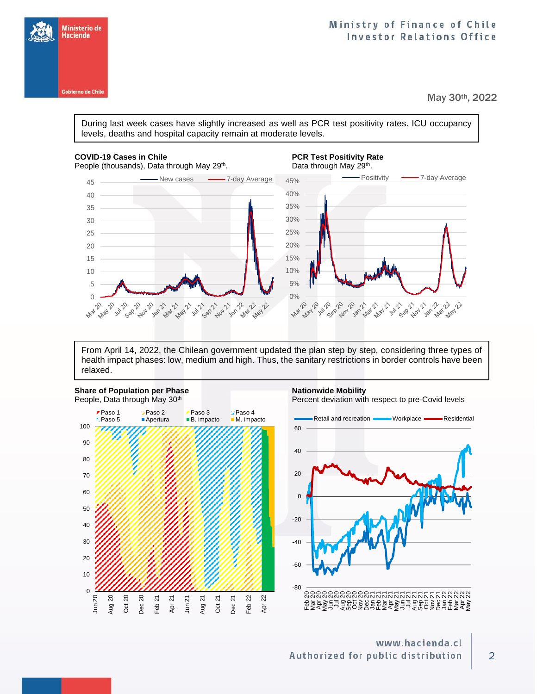

May 30th, 2022

During last week cases have slightly increased as well as PCR test positivity rates. ICU occupancy levels, deaths and hospital capacity remain at moderate levels.

#### **COVID-19 Cases in Chile PCR Test Positivity Rate PCR Test Positivity Rate**

Ministerio de Hacienda

**Gobierno de Chile** 



From April 14, 2022, the Chilean government updated the plan step by step, considering three types of health impact phases: low, medium and high. Thus, the sanitary restrictions in border controls have been relaxed.



### www.hacienda.cl Authorized for public distribution